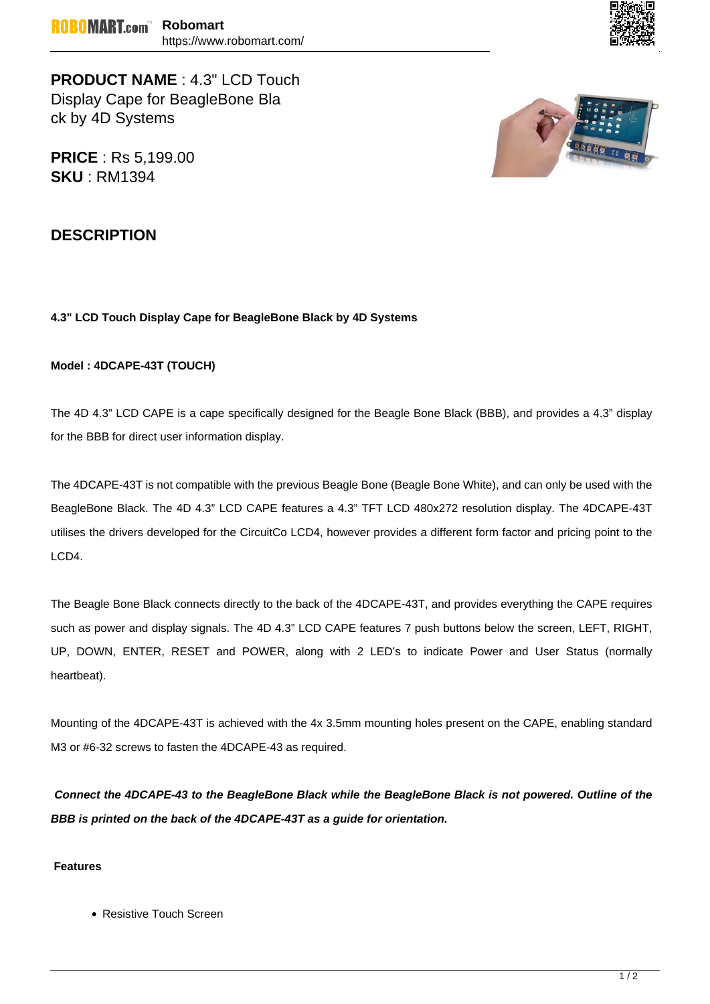

**PRODUCT NAME** : 4.3" LCD Touch Display Cape for BeagleBone Bla ck by 4D Systems

**PRICE** : Rs 5,199.00 **SKU** : RM1394



## **DESCRIPTION**

## **4.3" LCD Touch Display Cape for BeagleBone Black by 4D Systems**

## **Model : 4DCAPE-43T (TOUCH)**

The 4D 4.3" LCD CAPE is a cape specifically designed for the Beagle Bone Black (BBB), and provides a 4.3" display for the BBB for direct user information display.

The 4DCAPE-43T is not compatible with the previous Beagle Bone (Beagle Bone White), and can only be used with the BeagleBone Black. The 4D 4.3" LCD CAPE features a 4.3" TFT LCD 480x272 resolution display. The 4DCAPE-43T utilises the drivers developed for the CircuitCo LCD4, however provides a different form factor and pricing point to the LCD4.

The Beagle Bone Black connects directly to the back of the 4DCAPE-43T, and provides everything the CAPE requires such as power and display signals. The 4D 4.3" LCD CAPE features 7 push buttons below the screen, LEFT, RIGHT, UP, DOWN, ENTER, RESET and POWER, along with 2 LED's to indicate Power and User Status (normally heartbeat).

Mounting of the 4DCAPE-43T is achieved with the 4x 3.5mm mounting holes present on the CAPE, enabling standard M3 or #6-32 screws to fasten the 4DCAPE-43 as required.

**Connect the 4DCAPE-43 to the BeagleBone Black while the BeagleBone Black is not powered. Outline of the BBB is printed on the back of the 4DCAPE-43T as a guide for orientation.**

## **Features**

• Resistive Touch Screen